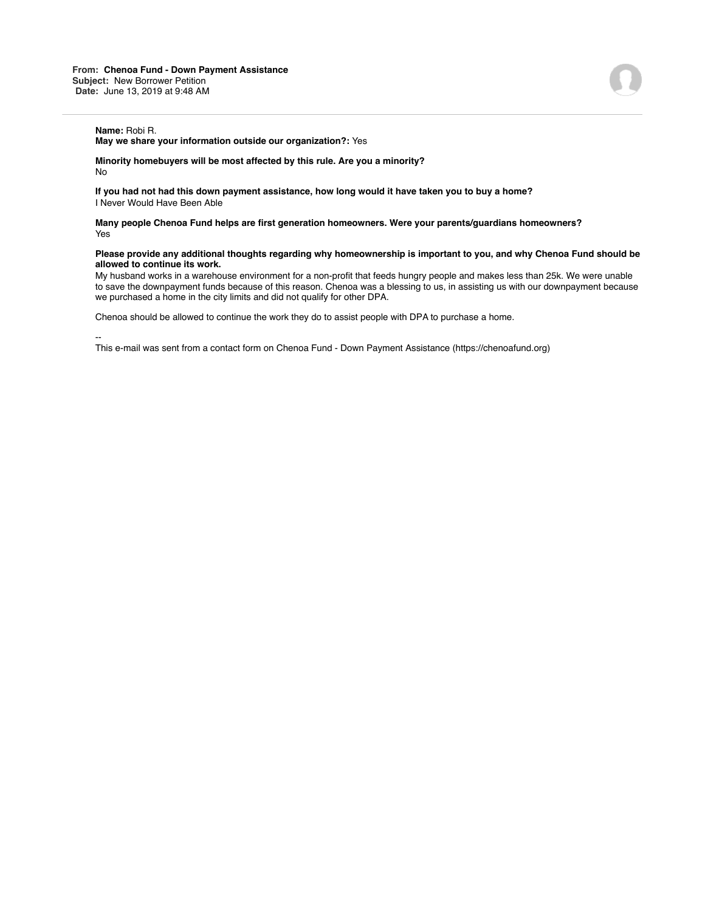**May we share your information outside our organization?:** Yes

**Minority homebuyers will be most affected by this rule. Are you a minority?** No

**If you had not had this down payment assistance, how long would it have taken you to buy a home?** I Never Would Have Been Able

**Many people Chenoa Fund helps are first generation homeowners. Were your parents/guardians homeowners?** Yes

## **Please provide any additional thoughts regarding why homeownership is important to you, and why Chenoa Fund should be allowed to continue its work.**

My husband works in a warehouse environment for a non-profit that feeds hungry people and makes less than 25k. We were unable to save the downpayment funds because of this reason. Chenoa was a blessing to us, in assisting us with our downpayment because we purchased a home in the city limits and did not qualify for other DPA.

Chenoa should be allowed to continue the work they do to assist people with DPA to purchase a home.

--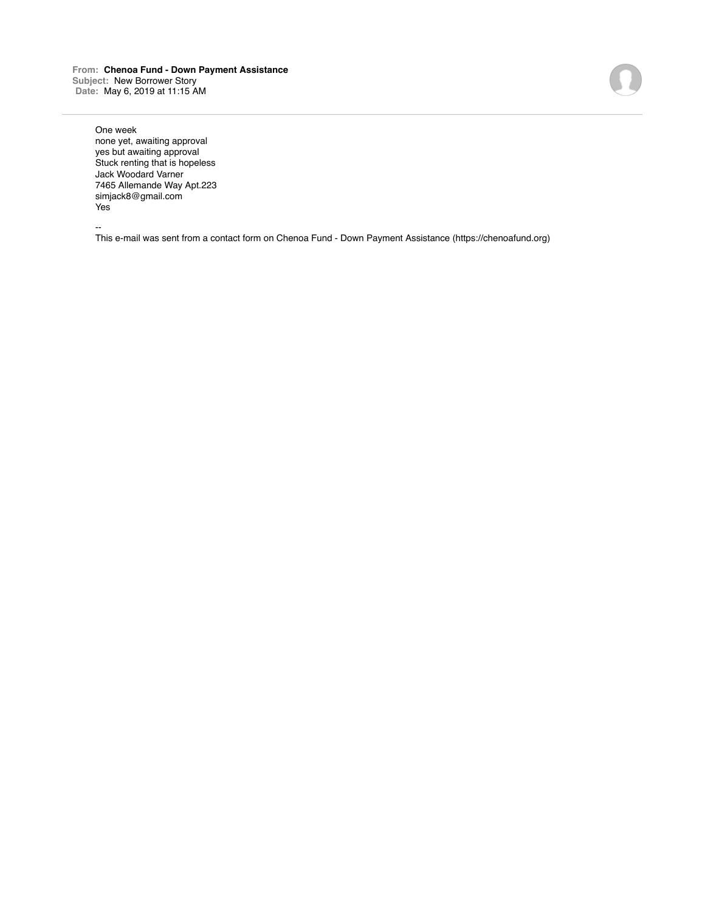**From: Chenoa Fund - Down Payment Assistance Subject:** New Borrower Story **Date:** May 6, 2019 at 11:15 AM

One week none yet, awaiting approval yes but awaiting approval Stuck renting that is hopeless Jack Woodard Varner 7465 Allemande Way Apt.223 simjack8@gmail.com Yes

--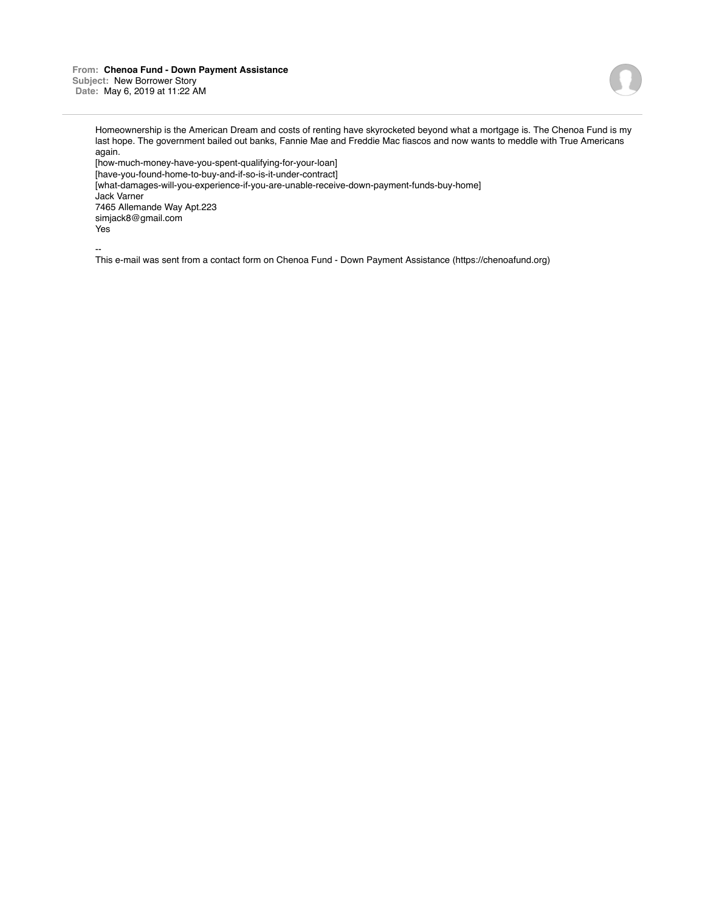**From: Chenoa Fund - Down Payment Assistance Subject:** New Borrower Story **Date:** May 6, 2019 at 11:22 AM



Homeownership is the American Dream and costs of renting have skyrocketed beyond what a mortgage is. The Chenoa Fund is my last hope. The government bailed out banks, Fannie Mae and Freddie Mac fiascos and now wants to meddle with True Americans again.

[how-much-money-have-you-spent-qualifying-for-your-loan] [have-you-found-home-to-buy-and-if-so-is-it-under-contract] [what-damages-will-you-experience-if-you-are-unable-receive-down-payment-funds-buy-home] Jack Varner 7465 Allemande Way Apt.223 simjack8@gmail.com Yes

--